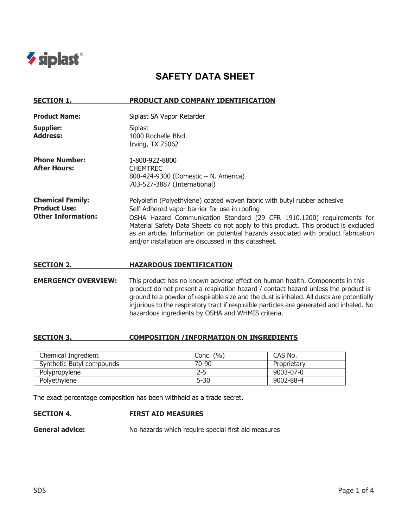

# **SAFETY DATA SHEET**

| <b>SECTION 1.</b>                                                           | <b>PRODUCT AND COMPANY IDENTIFICATION</b>                                                                                                                                                                                                                                                                                                                                                                                                |
|-----------------------------------------------------------------------------|------------------------------------------------------------------------------------------------------------------------------------------------------------------------------------------------------------------------------------------------------------------------------------------------------------------------------------------------------------------------------------------------------------------------------------------|
| <b>Product Name:</b>                                                        | Siplast SA Vapor Retarder                                                                                                                                                                                                                                                                                                                                                                                                                |
| Supplier:<br><b>Address:</b>                                                | Siplast<br>1000 Rochelle Blvd.<br><b>Irving, TX 75062</b>                                                                                                                                                                                                                                                                                                                                                                                |
| <b>Phone Number:</b><br><b>After Hours:</b>                                 | 1-800-922-8800<br><b>CHEMTREC</b><br>800-424-9300 (Domestic - N. America)<br>703-527-3887 (International)                                                                                                                                                                                                                                                                                                                                |
| <b>Chemical Family:</b><br><b>Product Use:</b><br><b>Other Information:</b> | Polyolefin (Polyethylene) coated woven fabric with butyl rubber adhesive<br>Self-Adhered vapor barrier for use in roofing<br>OSHA Hazard Communication Standard (29 CFR 1910.1200) requirements for<br>Material Safety Data Sheets do not apply to this product. This product is excluded<br>as an article. Information on potential hazards associated with product fabrication<br>and/or installation are discussed in this datasheet. |
| <b>SECTION 2.</b>                                                           | <b>HAZARDOUS IDENTIFICATION</b>                                                                                                                                                                                                                                                                                                                                                                                                          |

**EMERGENCY OVERVIEW:** This product has no known adverse effect on human health. Components in this product do not present a respiration hazard / contact hazard unless the product is ground to a powder of respirable size and the dust is inhaled. All dusts are potentially injurious to the respiratory tract if respirable particles are generated and inhaled. No hazardous ingredients by OSHA and WHMIS criteria.

### **SECTION 3. COMPOSITION /INFORMATION ON INGREDIENTS**

| Chemical Ingredient       | Conc. $(\% )$ | CAS No.         |
|---------------------------|---------------|-----------------|
| Synthetic Butyl compounds | 70-90         | Proprietary     |
| Polypropylene             | 2-5           | $9003 - 07 - 0$ |
| Polyethylene              | $5 - 30$      | 9002-88-4       |

The exact percentage composition has been withheld as a trade secret.

#### **SECTION 4. FIRST AID MEASURES**

**General advice:** No hazards which require special first aid measures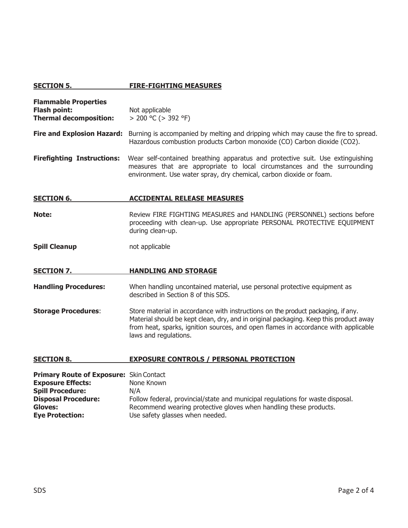# **SECTION 5. FIRE-FIGHTING MEASURES**

| <b>Flammable Properties</b><br><b>Flash point:</b><br><b>Thermal decomposition:</b>                                                            | Not applicable<br>$> 200$ °C ( $> 392$ °F)                                                                                                                                                                                                                                               |
|------------------------------------------------------------------------------------------------------------------------------------------------|------------------------------------------------------------------------------------------------------------------------------------------------------------------------------------------------------------------------------------------------------------------------------------------|
| <b>Fire and Explosion Hazard:</b>                                                                                                              | Burning is accompanied by melting and dripping which may cause the fire to spread.<br>Hazardous combustion products Carbon monoxide (CO) Carbon dioxide (CO2).                                                                                                                           |
| <b>Firefighting Instructions:</b>                                                                                                              | Wear self-contained breathing apparatus and protective suit. Use extinguishing<br>measures that are appropriate to local circumstances and the surrounding<br>environment. Use water spray, dry chemical, carbon dioxide or foam.                                                        |
| <b>SECTION 6.</b>                                                                                                                              | <b>ACCIDENTAL RELEASE MEASURES</b>                                                                                                                                                                                                                                                       |
| Note:                                                                                                                                          | Review FIRE FIGHTING MEASURES and HANDLING (PERSONNEL) sections before<br>proceeding with clean-up. Use appropriate PERSONAL PROTECTIVE EQUIPMENT<br>during clean-up.                                                                                                                    |
| <b>Spill Cleanup</b>                                                                                                                           | not applicable                                                                                                                                                                                                                                                                           |
| <b>SECTION 7.</b>                                                                                                                              | <b>HANDLING AND STORAGE</b>                                                                                                                                                                                                                                                              |
| <b>Handling Procedures:</b>                                                                                                                    | When handling uncontained material, use personal protective equipment as<br>described in Section 8 of this SDS.                                                                                                                                                                          |
| <b>Storage Procedures:</b>                                                                                                                     | Store material in accordance with instructions on the product packaging, if any.<br>Material should be kept clean, dry, and in original packaging. Keep this product away<br>from heat, sparks, ignition sources, and open flames in accordance with applicable<br>laws and regulations. |
| <b>SECTION 8.</b>                                                                                                                              | <b>EXPOSURE CONTROLS / PERSONAL PROTECTION</b>                                                                                                                                                                                                                                           |
| Primary Route of Exposure: Skin Contact<br><b>Exposure Effects:</b><br><b>Spill Procedure:</b><br><b>Disposal Procedure:</b><br><b>Gloves:</b> | None Known<br>N/A<br>Follow federal, provincial/state and municipal regulations for waste disposal.<br>Recommend wearing protective gloves when handling these products.                                                                                                                 |
| <b>Eye Protection:</b>                                                                                                                         | Use safety glasses when needed.                                                                                                                                                                                                                                                          |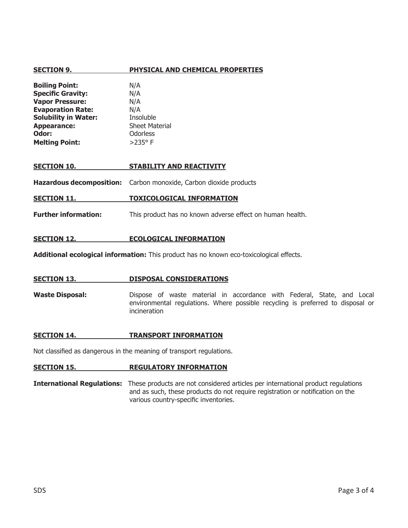## **SECTION 9. PHYSICAL AND CHEMICAL PROPERTIES**

| <b>Boiling Point:</b>       | N/A                   |
|-----------------------------|-----------------------|
| <b>Specific Gravity:</b>    | N/A                   |
| <b>Vapor Pressure:</b>      | N/A                   |
| <b>Evaporation Rate:</b>    | N/A                   |
| <b>Solubility in Water:</b> | Insoluble             |
| <b>Appearance:</b>          | <b>Sheet Material</b> |
| Odor:                       | Odorless              |
| <b>Melting Point:</b>       | $>235^{\circ}$ F      |

#### **SECTION 10. STABILITY AND REACTIVITY**

**Hazardous decomposition:** Carbon monoxide, Carbon dioxide products

**SECTION 11. TOXICOLOGICAL INFORMATION**

**Further information:** This product has no known adverse effect on human health.

#### **SECTION 12. ECOLOGICAL INFORMATION**

**Additional ecological information:** This product has no known eco-toxicological effects.

#### **SECTION 13. DISPOSAL CONSIDERATIONS**

**Waste Disposal:** Dispose of waste material in accordance with Federal, State, and Local environmental regulations. Where possible recycling is preferred to disposal or incineration

#### **SECTION 14. TRANSPORT INFORMATION**

Not classified as dangerous in the meaning of transport regulations.

#### **SECTION 15. REGULATORY INFORMATION**

**International Regulations:** These products are not considered articles per international product regulations and as such, these products do not require registration or notification on the various country-specific inventories.